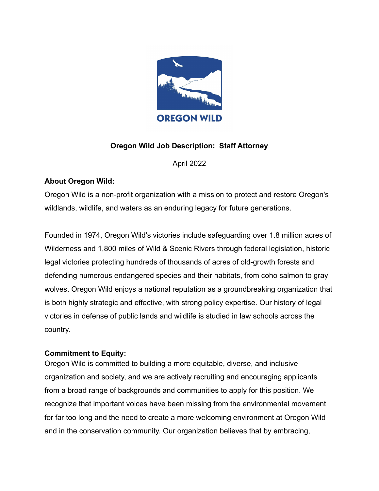

# **Oregon Wild Job Description: Staff Attorney**

April 2022

#### **About Oregon Wild:**

Oregon Wild is a non-profit organization with a mission to protect and restore Oregon's wildlands, wildlife, and waters as an enduring legacy for future generations.

Founded in 1974, Oregon Wild's victories include safeguarding over 1.8 million acres of Wilderness and 1,800 miles of Wild & Scenic Rivers through federal legislation, historic legal victories protecting hundreds of thousands of acres of old-growth forests and defending numerous endangered species and their habitats, from coho salmon to gray wolves. Oregon Wild enjoys a national reputation as a groundbreaking organization that is both highly strategic and effective, with strong policy expertise. Our history of legal victories in defense of public lands and wildlife is studied in law schools across the country.

#### **Commitment to Equity:**

Oregon Wild is committed to building a more equitable, diverse, and inclusive organization and society, and we are actively recruiting and encouraging applicants from a broad range of backgrounds and communities to apply for this position. We recognize that important voices have been missing from the environmental movement for far too long and the need to create a more welcoming environment at Oregon Wild and in the conservation community. Our organization believes that by embracing,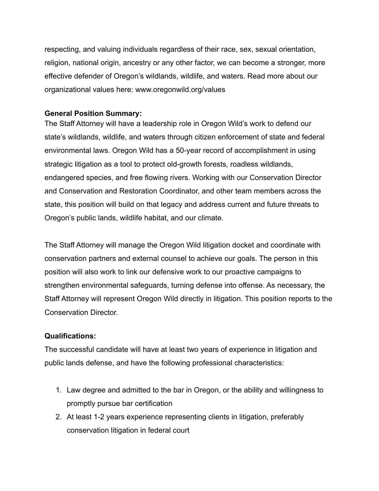respecting, and valuing individuals regardless of their race, sex, sexual orientation, religion, national origin, ancestry or any other factor, we can become a stronger, more effective defender of Oregon's wildlands, wildlife, and waters. Read more about our organizational values here: www.oregonwild.org/values

#### **General Position Summary:**

The Staff Attorney will have a leadership role in Oregon Wild's work to defend our state's wildlands, wildlife, and waters through citizen enforcement of state and federal environmental laws. Oregon Wild has a 50-year record of accomplishment in using strategic litigation as a tool to protect old-growth forests, roadless wildlands, endangered species, and free flowing rivers. Working with our Conservation Director and Conservation and Restoration Coordinator, and other team members across the state, this position will build on that legacy and address current and future threats to Oregon's public lands, wildlife habitat, and our climate.

The Staff Attorney will manage the Oregon Wild litigation docket and coordinate with conservation partners and external counsel to achieve our goals. The person in this position will also work to link our defensive work to our proactive campaigns to strengthen environmental safeguards, turning defense into offense. As necessary, the Staff Attorney will represent Oregon Wild directly in litigation. This position reports to the Conservation Director.

#### **Qualifications:**

The successful candidate will have at least two years of experience in litigation and public lands defense, and have the following professional characteristics:

- 1. Law degree and admitted to the bar in Oregon, or the ability and willingness to promptly pursue bar certification
- 2. At least 1-2 years experience representing clients in litigation, preferably conservation litigation in federal court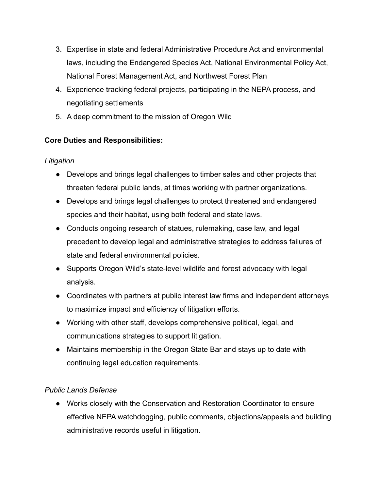- 3. Expertise in state and federal Administrative Procedure Act and environmental laws, including the Endangered Species Act, National Environmental Policy Act, National Forest Management Act, and Northwest Forest Plan
- 4. Experience tracking federal projects, participating in the NEPA process, and negotiating settlements
- 5. A deep commitment to the mission of Oregon Wild

# **Core Duties and Responsibilities:**

# *Litigation*

- Develops and brings legal challenges to timber sales and other projects that threaten federal public lands, at times working with partner organizations.
- Develops and brings legal challenges to protect threatened and endangered species and their habitat, using both federal and state laws.
- Conducts ongoing research of statues, rulemaking, case law, and legal precedent to develop legal and administrative strategies to address failures of state and federal environmental policies.
- Supports Oregon Wild's state-level wildlife and forest advocacy with legal analysis.
- Coordinates with partners at public interest law firms and independent attorneys to maximize impact and efficiency of litigation efforts.
- Working with other staff, develops comprehensive political, legal, and communications strategies to support litigation.
- Maintains membership in the Oregon State Bar and stays up to date with continuing legal education requirements.

# *Public Lands Defense*

● Works closely with the Conservation and Restoration Coordinator to ensure effective NEPA watchdogging, public comments, objections/appeals and building administrative records useful in litigation.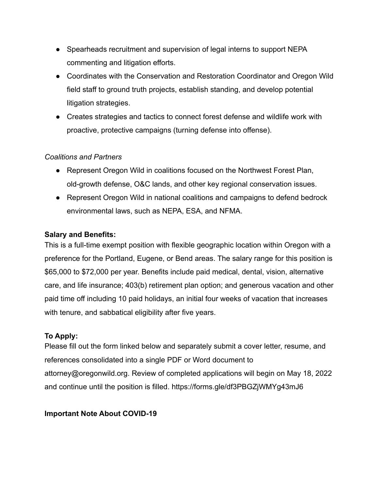- Spearheads recruitment and supervision of legal interns to support NEPA commenting and litigation efforts.
- Coordinates with the Conservation and Restoration Coordinator and Oregon Wild field staff to ground truth projects, establish standing, and develop potential litigation strategies.
- Creates strategies and tactics to connect forest defense and wildlife work with proactive, protective campaigns (turning defense into offense).

#### *Coalitions and Partners*

- Represent Oregon Wild in coalitions focused on the Northwest Forest Plan, old-growth defense, O&C lands, and other key regional conservation issues.
- Represent Oregon Wild in national coalitions and campaigns to defend bedrock environmental laws, such as NEPA, ESA, and NFMA.

#### **Salary and Benefits:**

This is a full-time exempt position with flexible geographic location within Oregon with a preference for the Portland, Eugene, or Bend areas. The salary range for this position is \$65,000 to \$72,000 per year. Benefits include paid medical, dental, vision, alternative care, and life insurance; 403(b) retirement plan option; and generous vacation and other paid time off including 10 paid holidays, an initial four weeks of vacation that increases with tenure, and sabbatical eligibility after five years.

# **To Apply:**

Please fill out the form linked below and separately submit a cover letter, resume, and references consolidated into a single PDF or Word document to attorney@oregonwild.org. Review of completed applications will begin on May 18, 2022 and continue until the position is filled. https://forms.gle/df3PBGZjWMYg43mJ6

# **Important Note About COVID-19**